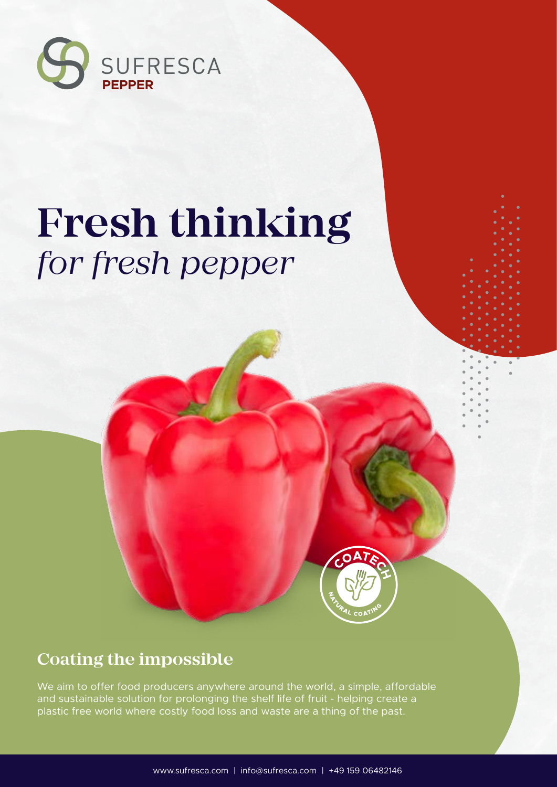

# **Fresh thinking** *for fresh pepper*



#### **Coating the impossible**

We aim to offer food producers anywhere around the world, a simple, affordable and sustainable solution for prolonging the shelf life of fruit - helping create a plastic free world where costly food loss and waste are a thing of the past.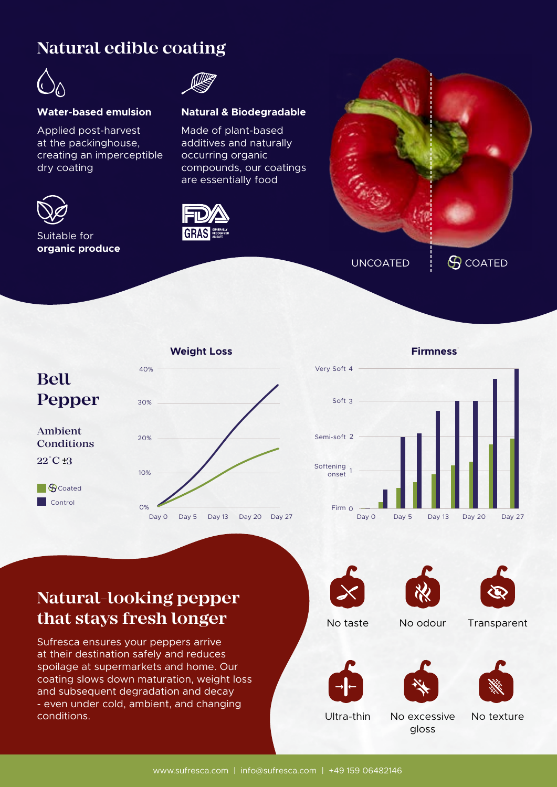#### **Natural edible coating**



#### **Water-based emulsion Natural & Biodegradable**

Applied post-harvest at the packinghouse, creating an imperceptible dry coating



#### Suitable for **organic produce**



Made of plant-based additives and naturally occurring organic compounds, our coatings are essentially food



UNCOATED  $\vdots$   $\bigcirc$  coated



**Firmness**\*



#### **Natural-looking pepper that stays fresh longer**

Sufresca ensures your peppers arrive at their destination safely and reduces spoilage at supermarkets and home. Our coating slows down maturation, weight loss and subsequent degradation and decay - even under cold, ambient, and changing conditions. And the conditions of the conditions of the conditions of the conditions of the conditions of the conditions of the conditions of the conditions of the conditions of the conditions of the conditions of the cond







No taste No odour Transparent







gloss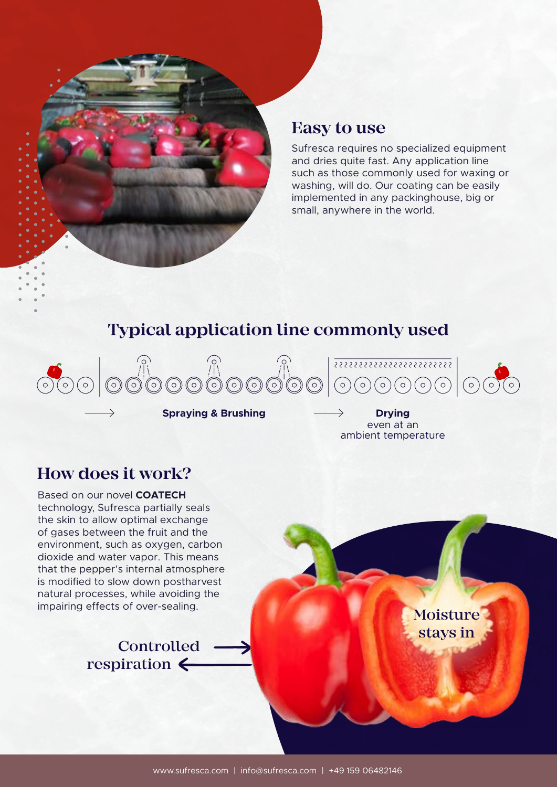

#### **Easy to use**

Sufresca requires no specialized equipment and dries quite fast. Any application line such as those commonly used for waxing or washing, will do. Our coating can be easily implemented in any packinghouse, big or small, anywhere in the world.

### **Typical application line commonly used**



**Spraying & Brushing Drying** 

even at an ambient temperature

#### **How does it work?**

Based on our novel **COATECH**  technology, Sufresca partially seals the skin to allow optimal exchange of gases between the fruit and the environment, such as oxygen, carbon dioxide and water vapor. This means that the pepper's internal atmosphere is modified to slow down postharvest natural processes, while avoiding the impairing effects of over-sealing.



Moisture stays in